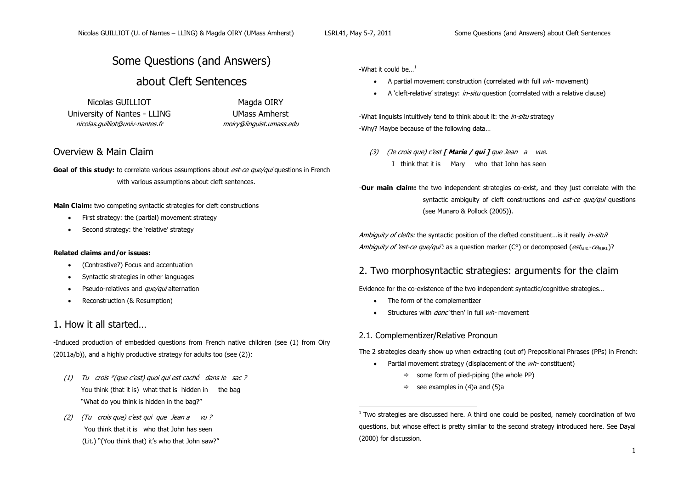-

# Some Questions (and Answers)

# about Cleft Sentences

Nicolas GUILLIOT Magda OIRY University of Nantes - LLING UMass Amherst nicolas.guilliot@univ-nantes.fr moiry@linguist.umass.edu

## Overview & Main Claim

**Goal of this study:** to correlate various assumptions about *est-ce que/qui* questions in French with various assumptions about cleft sentences.

**Main Claim:** two competing syntactic strategies for cleft constructions

- First strategy: the (partial) movement strategy
- Second strategy: the 'relative' strategy

### **Related claims and/or issues:**

- (Contrastive?) Focus and accentuation
- Syntactic strategies in other languages
- $\bullet$  Pseudo-relatives and *que/qui* alternation
- Reconstruction (& Resumption)

## 1. How it all started…

-Induced production of embedded questions from French native children (see [\(1\)](#page-0-0) from Oiry (2011a/b)), and a highly productive strategy for adults too (see [\(2\)\)](#page-0-1):

- <span id="page-0-0"></span>(1) Tu crois \*(que c"est) quoi qui est caché dans le sac ? You think (that it is) what that is hidden in the bag "What do you think is hidden in the bag?"
- <span id="page-0-1"></span>(2) (Tu crois que) c"est qui que Jean a vu ? You think that it is who that John has seen (Lit.) "(You think that) it's who that John saw?"

-What it could be... $<sup>1</sup>$ </sup>

- A partial movement construction (correlated with full  $wh$  movement)
- A 'cleft-relative' strategy: *in-situ* question (correlated with a relative clause)

-What linguists intuitively tend to think about it: the *in-situ* strategy -Why? Maybe because of the following data…

(3) (Je crois que) c"est **[ Marie / qui ]** que Jean a vue. I think that it is Mary who that John has seen

-**Our main claim:** the two independent strategies co-exist, and they just correlate with the syntactic ambiguity of cleft constructions and *est-ce que/qui* questions (see Munaro & Pollock (2005)).

Ambiguity of clefts: the syntactic position of the clefted constituent... is it really in-situ? Ambiguity of 'est-ce que/qui': as a question marker ( $C<sup>o</sup>$ ) or decomposed (est<sub>AUX</sub>-ce<sub>SUB1</sub>)?

## 2. Two morphosyntactic strategies: arguments for the claim

Evidence for the co-existence of the two independent syntactic/cognitive strategies…

- The form of the complementizer
- Structures with *donc* 'then' in full wh- movement

### 2.1. Complementizer/Relative Pronoun

The 2 strategies clearly show up when extracting (out of) Prepositional Phrases (PPs) in French:

- Partial movement strategy (displacement of the  $wh$  constituent)
	- $\Rightarrow$  some form of pied-piping (the whole PP)
	- $\Rightarrow$  see examples i[n \(4\)a](#page-1-0) and [\(5\)a](#page-1-1)

 $1$  Two strategies are discussed here. A third one could be posited, namely coordination of two questions, but whose effect is pretty similar to the second strategy introduced here. See Dayal (2000) for discussion.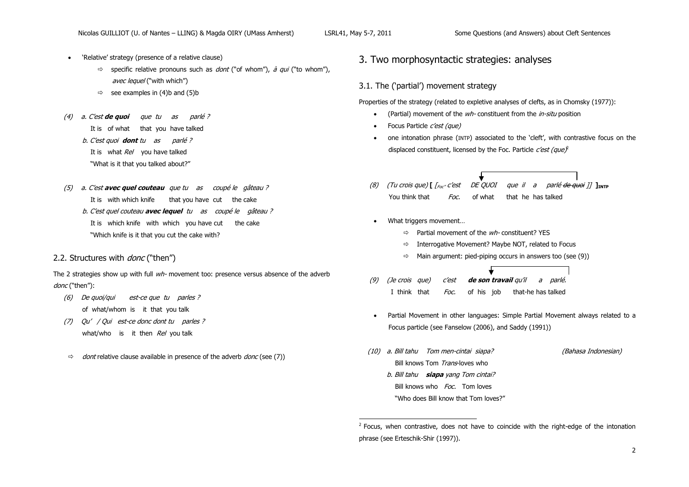-

- 'Relative' strategy (presence of a relative clause)
	- $\Rightarrow$  specific relative pronouns such as *dont* ("of whom"), *à qui* ("to whom"), avec lequel ("with which")
	- $\Rightarrow$  see examples in [\(4\)b](#page-1-0) and [\(5\)b](#page-1-1)
- <span id="page-1-0"></span>(4) a. C"est **de quoi** que tu as parlé ?
	- It is of what that you have talked
	- b. C"est quoi **dont** tu as parlé ?
	- It is what Rel you have talked
	- "What is it that you talked about?"
- <span id="page-1-1"></span>(5) <sup>a</sup>. C"est **avec quel couteau** que tu as coupé le gâteau ? It is with which knife that you have cut the cake
	- b. C"est quel couteau **avec lequel** tu as coupé le gâteau ? It is which knife with which you have cut the cake "Which knife is it that you cut the cake with?
- 2.2. Structures with *donc* ("then")

The 2 strategies show up with full  $w/h$ - movement too: presence versus absence of the adverb donc ("then"):

- (6) De quoi/qui est-ce que tu parles ? of what/whom is it that you talk
- <span id="page-1-2"></span>(7) Qu" / Qui est-ce donc dont tu parles ? what/who is it then  $Re/$  you talk
- $\Rightarrow$  dont relative clause available in presence of the adverb donc (see [\(7\)\)](#page-1-2)

### 3. Two morphosyntactic strategies: analyses

### 3.1. The ('partial') movement strategy

Properties of the strategy (related to expletive analyses of clefts, as in Chomsky (1977)):

- (Partial) movement of the wh- constituent from the *in-situ* position
- $\bullet$  Focus Particle *c'est (que)*
- one intonation phrase (INTP) associated to the "cleft", with contrastive focus on the displaced constituent, licensed by the Foc. Particle  $c'est (que)$
- ↓ (8) (Tu crois que) **[** [Foc"" <sup>c</sup>"est DE QUOI que il a parlé de quoi ]] **]INTP** You think that Foc. of what that he has talked
- What triggers movement...
	- $\Rightarrow$  Partial movement of the *wh*-constituent? YES
	- $\Rightarrow$  Interrogative Movement? Maybe NOT, related to Focus
	- $\Rightarrow$  Main argument: pied-piping occurs in answers too (se[e \(9\)\)](#page-1-3)
- <span id="page-1-3"></span>(9) (Je crois que) c"est **de son travail** qu"il a parlé. I think that Foc. of his job that-he has talked
	- Partial Movement in other languages: Simple Partial Movement always related to a Focus particle (see Fanselow (2006), and Saddy (1991))
- (10) a. Bill tahu Tom men-cintai siapa? (Bahasa Indonesian) Bill knows Tom Trans-loves who b. Bill tahu **siapa** yang Tom cintai? Bill knows who *Foc*. Tom loves "Who does Bill know that Tom loves?"

 $<sup>2</sup>$  Focus, when contrastive, does not have to coincide with the right-edge of the intonation</sup> phrase (see Erteschik-Shir (1997)).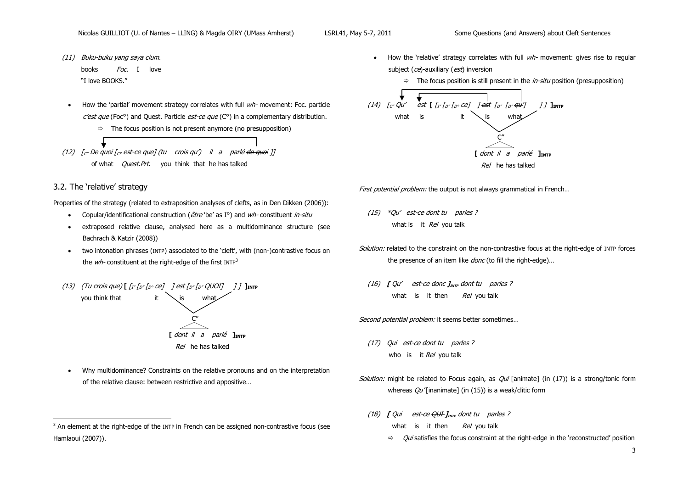- (11) Buku-buku yang saya cium. books Foc. I love "I love BOOKS."
- $\bullet$  How the 'partial' movement strategy correlates with full  $wh$  movement: Foc. particle  $C$ est que (Foc<sup>o</sup>) and Quest. Particle est-ce que ( $C<sup>o</sup>$ ) in a complementary distribution.
	- $\Rightarrow$  The focus position is not present anymore (no presupposition)
- (12)  $\int_{C'}$  De quoi  $\int_{C'}$  est-ce que] (tu crois qu') il a parlé <del>de quoi</del> ]] of what *Quest.Prt*. you think that he has talked

### 3.2. The 'relative' strategy

j

Properties of the strategy (related to extraposition analyses of clefts, as in Den Dikken (2006)):

- Copular/identificational construction ( $\hat{e}$ tre 'be' as I°) and  $wh$ -constituent in-situ
- extraposed relative clause, analysed here as a multidominance structure (see Bachrach & Katzir (2008))
- two intonation phrases (INTP) associated to the 'cleft', with (non-)contrastive focus on the  $wh$ - constituent at the right-edge of the first INTP<sup>3</sup>
- (13) (Tu crois que)  $[\int_{I''} f_{D''} f_{D^{\circ}} c e]$  ] est  $f_{D''} f_{D''}$  QUOI] ] ]  $]$ **] INTP** you think that  $C''$  **[** dont il a parlé **]INTP** 6 Rel he has talked
- Why multidominance? Constraints on the relative pronouns and on the interpretation of the relative clause: between restrictive and appositive…
- $\bullet$  How the 'relative' strategy correlates with full  $wh$  movement: gives rise to regular subject (ce)-auxiliary (est) inversion
	- $\Rightarrow$  The focus position is still present in the *in-situ* position (presupposition)



First potential problem: the output is not always grammatical in French...

- <span id="page-2-1"></span>(15) \*Qu" est-ce dont tu parles ? what is it  $Re/$  you talk
- Solution: related to the constraint on the non-contrastive focus at the right-edge of INTP forces the presence of an item like *donc* (to fill the right-edge)...
- (16) **[** Qu" est-ce donc **]INTP** dont tu parles ? what is it then  $Re/$  you talk

Second potential problem: it seems better sometimes...

- <span id="page-2-0"></span>(17) Qui est-ce dont tu parles ? who is it  $Re/$  you talk
- Solution: might be related to Focus again, as  $Qui$  [animate] (in [\(17\)\)](#page-2-0) is a strong/tonic form whereas  $Qu'$ [inanimate] (i[n \(15\)\)](#page-2-1) is a weak/clitic form
	- (18)  $\int$  Qui est-ce  $\frac{\partial U}{\partial r}$  **]**<sub>INTP</sub> dont tu parles ? what is it then  $Re/$  you talk
		- $\Rightarrow$  Qui satisfies the focus constraint at the right-edge in the 'reconstructed' position

 $3$  An element at the right-edge of the INTP in French can be assigned non-contrastive focus (see Hamlaoui (2007)).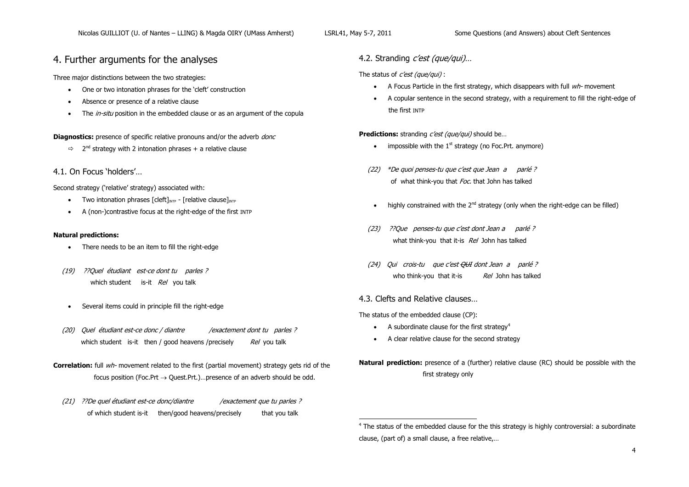-

## 4. Further arguments for the analyses

Three major distinctions between the two strategies:

- One or two intonation phrases for the 'cleft' construction
- Absence or presence of a relative clause
- The *in-situ* position in the embedded clause or as an argument of the copula

**Diagnostics:** presence of specific relative pronouns and/or the adverb *donc* 

 $\Rightarrow$  2<sup>nd</sup> strategy with 2 intonation phrases + a relative clause

4.1. On Focus "holders"…

Second strategy ('relative' strategy) associated with:

- Two intonation phrases  $\lceil \text{cleft} \rceil_{\text{IMP}} \lceil \text{relative clause} \rceil_{\text{MTP}}$
- A (non-)contrastive focus at the right-edge of the first INTP

### **Natural predictions:**

- There needs to be an item to fill the right-edge
- (19) ??Quel étudiant est-ce dont tu parles ? which student is-it Rel you talk
- Several items could in principle fill the right-edge
- (20) Quel étudiant est-ce donc / diantre /exactement dont tu parles ? which student is-it then  $/$  good heavens /precisely  $Re/$  you talk
- **Correlation:** full *wh* movement related to the first (partial movement) strategy gets rid of the focus position (Foc.Prt  $\rightarrow$  Quest.Prt.)...presence of an adverb should be odd.
	- (21) ??De quel étudiant est-ce donc/diantre //exactement que tu parles ? of which student is-it then/good heavens/precisely that you talk

4.2. Stranding *c'est (que/qui)*...

The status of  $c'est$  (que/qui) :

- A Focus Particle in the first strategy, which disappears with full  $w/h$  movement
- A copular sentence in the second strategy, with a requirement to fill the right-edge of the first INTP

**Predictions:** stranding *c'est (que/qui)* should be...

- impossible with the  $1<sup>st</sup>$  strategy (no Foc. Prt. anymore)
- (22) \*De quoi penses-tu que c'est que Jean a parlé ? of what think-you that Foc. that John has talked
- highly constrained with the  $2<sup>nd</sup>$  strategy (only when the right-edge can be filled)
- (23) ??Que penses-tu que c"est dont Jean a parlé ? what think-you that it-is Rel John has talked
- (24) Qui crois-tu que c"est QUI dont Jean a parlé ? who think-you that it-is  $Re/$  John has talked
- 4.3. Clefts and Relative clauses…

The status of the embedded clause (CP):

- $\bullet$  A subordinate clause for the first strategy<sup>4</sup>
- A clear relative clause for the second strategy

**Natural prediction:** presence of a (further) relative clause (RC) should be possible with the first strategy only

<sup>4</sup> The status of the embedded clause for the this strategy is highly controversial: a subordinate clause, (part of) a small clause, a free relative,…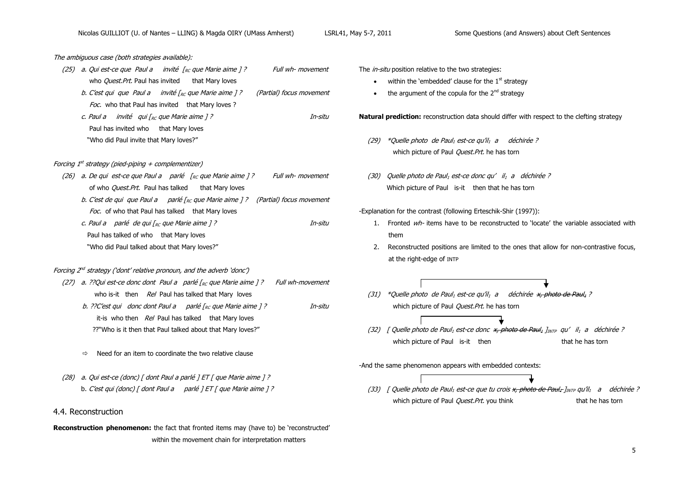The ambiguous case (both strategies available):

- (25) a. Qui est-ce que Paul a invité  $\sqrt{Re}$  que Marie aime 1? Full wh- movement who *Quest.Prt*. Paul has invited that Mary loves b. C'est qui que Paul a invité  $r_{BC}$  que Marie aime 1? (Partial) focus movement Foc. who that Paul has invited that Mary loves ?
	- c. Paul a invité qui  $\int_{R_C}$  que Marie aime 1 ? In-situ Paul has invited who that Mary loves "Who did Paul invite that Mary loves?"

#### Forcing 1st strategy (pied-piping + complementizer)

(26) a. De qui est-ce que Paul a parlé  $\int_{RC}$  que Marie aime 1? Full wh- movement of who *Quest.Prt.* Paul has talked that Mary loves b. C'est de qui que Paul a parlé  $\Gamma_{BC}$  que Marie aime 1? (Partial) focus movement Foc. of who that Paul has talked that Mary loves c. Paul a parlé de qui  $\int_{RC}$  que Marie aime  $\int$  ? Paul has talked of who that Mary loves "Who did Paul talked about that Mary loves?"

#### Forcing 2<sup>nd</sup> strategy ('dont' relative pronoun, and the adverb 'donc')

- (27) a. ??Qui est-ce donc dont Paul a parlé  $\int_{RC}$  que Marie aime ] ? Full wh-movement who is-it then  $Re/$  Paul has talked that Mary loves
	- b. ??C'est qui donc dont Paul a parlé  $I_{RC}$  que Marie aime 1 ? In-situ it-is who then Rel Paul has talked that Mary loves ??"Who is it then that Paul talked about that Mary loves?"
	- $\Rightarrow$  Need for an item to coordinate the two relative clause
- (28) a. Qui est-ce (donc) [ dont Paul a parlé ] ET [ que Marie aime ] ? b. C'est qui (donc) [ dont Paul a parlé ]  $ET$  [ que Marie aime ] ?
- 4.4. Reconstruction

**Reconstruction phenomenon:** the fact that fronted items may (have to) be 'reconstructed' within the movement chain for interpretation matters

The *in-situ* position relative to the two strategies:

- $\bullet$  within the 'embedded' clause for the  $1^\text{st}$  strategy
- $\bullet$  the argument of the copula for the  $2^{nd}$  strategy

**Natural prediction:** reconstruction data should differ with respect to the clefting strategy

- (29) \*Quelle photo de Paul<sub>1</sub> est-ce qu'il<sub>1</sub> a déchirée ? which picture of Paul *Quest.Prt*. he has torn
- (30) Quelle photo de Paul<sub>1</sub> est-ce donc qu' il<sub>1</sub> a déchirée ? Which picture of Paul is-it then that he has torn

-Explanation for the contrast (following Erteschik-Shir (1997)):

- 1. Fronted  $w/h$  items have to be reconstructed to 'locate' the variable associated with them
- 2. Reconstructed positions are limited to the ones that allow for non-contrastive focus, at the right-edge of INTP
- (31) \*Quelle photo de Paul<sub>1</sub> est-ce qu'il<sub>1</sub> a déchirée  $x$ , photo de Paul<sub>1</sub> ? which picture of Paul *Ouest.Prt*. he has torn
- (32) [ Quelle photo de Paul<sub>1</sub> est-ce donc  $x$ , photo de Paul<sub>1</sub>  $I_{\text{NTP}}$  qu' il<sub>1</sub> a déchirée ? which picture of Paul is-it then that he has torn
- -And the same phenomenon appears with embedded contexts:
	- (33) [ Quelle photo de Paul<sub>1</sub> est-ce que tu crois  $x_r$  photo de Paul<sub>1</sub> *I<sub>INTP</sub>* qu'il<sub>1</sub> a déchirée ? which picture of Paul *Quest.Prt.* you think that he has torn